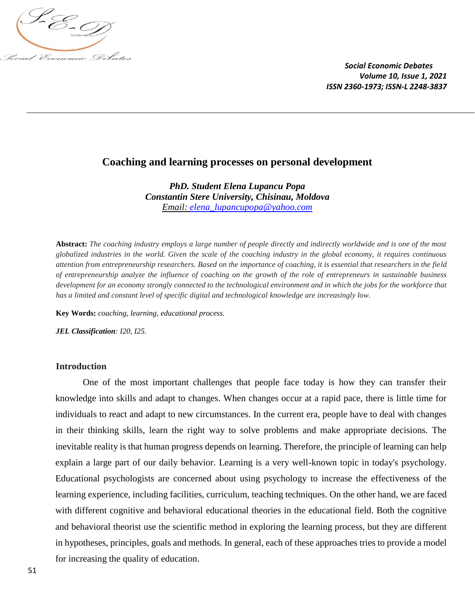

# **Coaching and learning processes on personal development**

*PhD. Student Elena Lupancu Popa Constantin Stere University, Chisinau, Moldova Email: [elena\\_lupancupopa@yahoo.com](mailto:elena_lupancupopa@yahoo.com)*

**Abstract:** *The coaching industry employs a large number of people directly and indirectly worldwide and is one of the most globalized industries in the world. Given the scale of the coaching industry in the global economy, it requires continuous attention from entrepreneurship researchers. Based on the importance of coaching, it is essential that researchers in the field of entrepreneurship analyze the influence of coaching on the growth of the role of entrepreneurs in sustainable business development for an economy strongly connected to the technological environment and in which the jobs for the workforce that has a limited and constant level of specific digital and technological knowledge are increasingly low.*

**Key Words:** *coaching, learning, educational process.*

*JEL Classification: I20, I25.*

#### **Introduction**

One of the most important challenges that people face today is how they can transfer their knowledge into skills and adapt to changes. When changes occur at a rapid pace, there is little time for individuals to react and adapt to new circumstances. In the current era, people have to deal with changes in their thinking skills, learn the right way to solve problems and make appropriate decisions. The inevitable reality is that human progress depends on learning. Therefore, the principle of learning can help explain a large part of our daily behavior. Learning is a very well-known topic in today's psychology. Educational psychologists are concerned about using psychology to increase the effectiveness of the learning experience, including facilities, curriculum, teaching techniques. On the other hand, we are faced with different cognitive and behavioral educational theories in the educational field. Both the cognitive and behavioral theorist use the scientific method in exploring the learning process, but they are different in hypotheses, principles, goals and methods. In general, each of these approaches tries to provide a model for increasing the quality of education.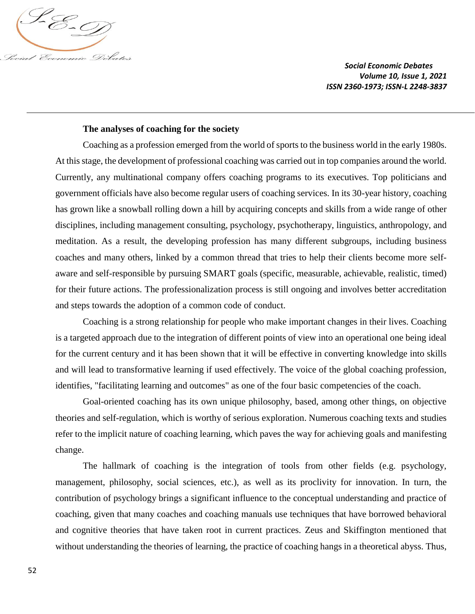

### **The analyses of coaching for the society**

Coaching as a profession emerged from the world of sports to the business world in the early 1980s. At this stage, the development of professional coaching was carried out in top companies around the world. Currently, any multinational company offers coaching programs to its executives. Top politicians and government officials have also become regular users of coaching services. In its 30-year history, coaching has grown like a snowball rolling down a hill by acquiring concepts and skills from a wide range of other disciplines, including management consulting, psychology, psychotherapy, linguistics, anthropology, and meditation. As a result, the developing profession has many different subgroups, including business coaches and many others, linked by a common thread that tries to help their clients become more selfaware and self-responsible by pursuing SMART goals (specific, measurable, achievable, realistic, timed) for their future actions. The professionalization process is still ongoing and involves better accreditation and steps towards the adoption of a common code of conduct.

Coaching is a strong relationship for people who make important changes in their lives. Coaching is a targeted approach due to the integration of different points of view into an operational one being ideal for the current century and it has been shown that it will be effective in converting knowledge into skills and will lead to transformative learning if used effectively. The voice of the global coaching profession, identifies, "facilitating learning and outcomes" as one of the four basic competencies of the coach.

Goal-oriented coaching has its own unique philosophy, based, among other things, on objective theories and self-regulation, which is worthy of serious exploration. Numerous coaching texts and studies refer to the implicit nature of coaching learning, which paves the way for achieving goals and manifesting change.

The hallmark of coaching is the integration of tools from other fields (e.g. psychology, management, philosophy, social sciences, etc.), as well as its proclivity for innovation. In turn, the contribution of psychology brings a significant influence to the conceptual understanding and practice of coaching, given that many coaches and coaching manuals use techniques that have borrowed behavioral and cognitive theories that have taken root in current practices. Zeus and Skiffington mentioned that without understanding the theories of learning, the practice of coaching hangs in a theoretical abyss. Thus,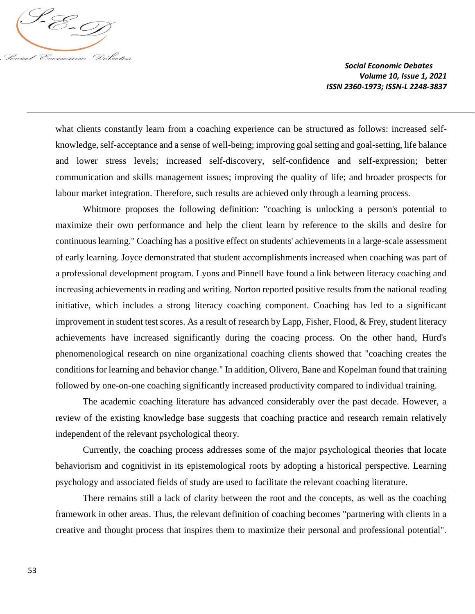

what clients constantly learn from a coaching experience can be structured as follows: increased selfknowledge, self-acceptance and a sense of well-being; improving goal setting and goal-setting, life balance and lower stress levels; increased self-discovery, self-confidence and self-expression; better communication and skills management issues; improving the quality of life; and broader prospects for labour market integration. Therefore, such results are achieved only through a learning process.

Whitmore proposes the following definition: "coaching is unlocking a person's potential to maximize their own performance and help the client learn by reference to the skills and desire for continuous learning." Coaching has a positive effect on students' achievements in a large-scale assessment of early learning. Joyce demonstrated that student accomplishments increased when coaching was part of a professional development program. Lyons and Pinnell have found a link between literacy coaching and increasing achievements in reading and writing. Norton reported positive results from the national reading initiative, which includes a strong literacy coaching component. Coaching has led to a significant improvement in student test scores. As a result of research by Lapp, Fisher, Flood, & Frey, student literacy achievements have increased significantly during the coacing process. On the other hand, Hurd's phenomenological research on nine organizational coaching clients showed that "coaching creates the conditions for learning and behavior change." In addition, Olivero, Bane and Kopelman found that training followed by one-on-one coaching significantly increased productivity compared to individual training.

The academic coaching literature has advanced considerably over the past decade. However, a review of the existing knowledge base suggests that coaching practice and research remain relatively independent of the relevant psychological theory.

Currently, the coaching process addresses some of the major psychological theories that locate behaviorism and cognitivist in its epistemological roots by adopting a historical perspective. Learning psychology and associated fields of study are used to facilitate the relevant coaching literature.

There remains still a lack of clarity between the root and the concepts, as well as the coaching framework in other areas. Thus, the relevant definition of coaching becomes "partnering with clients in a creative and thought process that inspires them to maximize their personal and professional potential".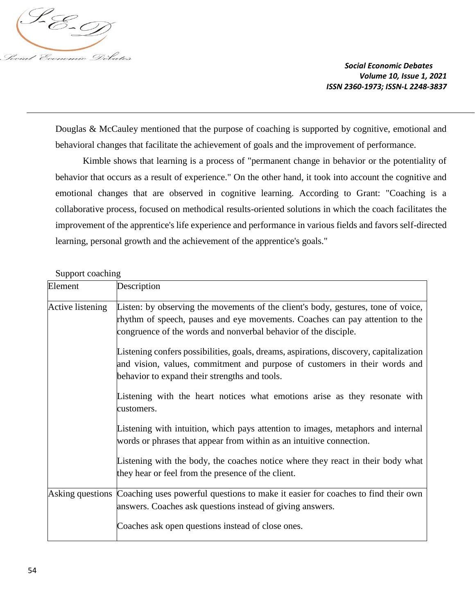

Douglas & McCauley mentioned that the purpose of coaching is supported by cognitive, emotional and behavioral changes that facilitate the achievement of goals and the improvement of performance.

Kimble shows that learning is a process of "permanent change in behavior or the potentiality of behavior that occurs as a result of experience." On the other hand, it took into account the cognitive and emotional changes that are observed in cognitive learning. According to Grant: "Coaching is a collaborative process, focused on methodical results-oriented solutions in which the coach facilitates the improvement of the apprentice's life experience and performance in various fields and favors self-directed learning, personal growth and the achievement of the apprentice's goals."

### Support coaching

| Element          | Description                                                                                                                                                                                                                          |
|------------------|--------------------------------------------------------------------------------------------------------------------------------------------------------------------------------------------------------------------------------------|
| Active listening | Listen: by observing the movements of the client's body, gestures, tone of voice,<br>rhythm of speech, pauses and eye movements. Coaches can pay attention to the<br>congruence of the words and nonverbal behavior of the disciple. |
|                  | Listening confers possibilities, goals, dreams, aspirations, discovery, capitalization<br>and vision, values, commitment and purpose of customers in their words and<br>behavior to expand their strengths and tools.                |
|                  | Listening with the heart notices what emotions arise as they resonate with<br>customers.                                                                                                                                             |
|                  | Listening with intuition, which pays attention to images, metaphors and internal<br>words or phrases that appear from within as an intuitive connection.                                                                             |
|                  | Listening with the body, the coaches notice where they react in their body what<br>they hear or feel from the presence of the client.                                                                                                |
|                  | Asking questions Coaching uses powerful questions to make it easier for coaches to find their own<br>answers. Coaches ask questions instead of giving answers.                                                                       |
|                  | Coaches ask open questions instead of close ones.                                                                                                                                                                                    |